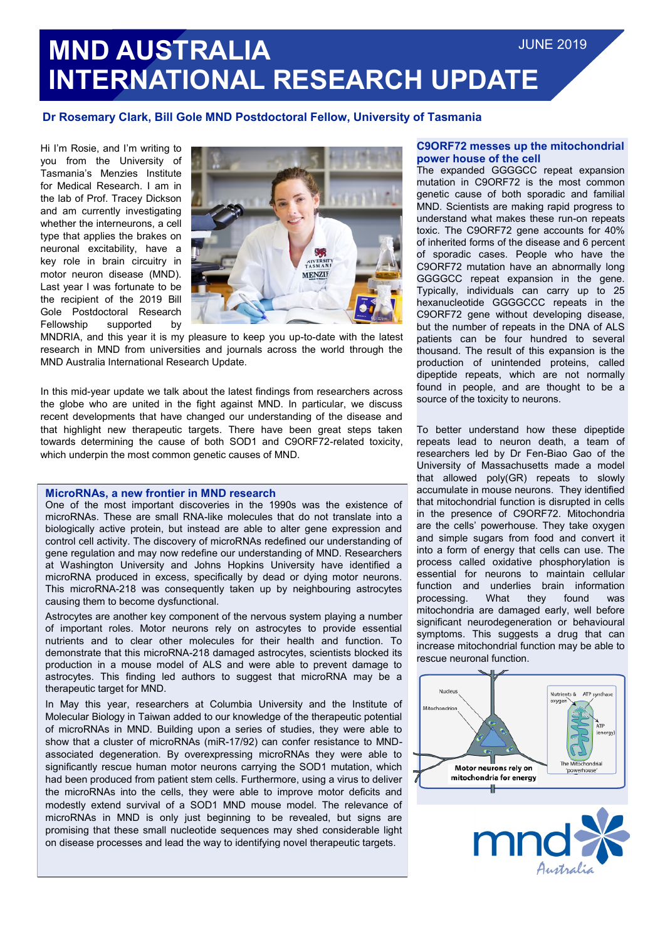## **Dr Rosemary Clark, Bill Gole MND Postdoctoral Fellow, University of Tasmania**

Hi I'm Rosie, and I'm writing to you from the University of Tasmania's Menzies Institute for Medical Research. I am in the lab of Prof. Tracey Dickson and am currently investigating whether the interneurons, a cell type that applies the brakes on neuronal excitability, have a key role in brain circuitry in motor neuron disease (MND). Last year I was fortunate to be the recipient of the 2019 Bill Gole Postdoctoral Research Fellowship supported by



MNDRIA, and this year it is my pleasure to keep you up-to-date with the latest research in MND from universities and journals across the world through the MND Australia International Research Update.

In this mid-year update we talk about the latest findings from researchers across the globe who are united in the fight against MND. In particular, we discuss recent developments that have changed our understanding of the disease and that highlight new therapeutic targets. There have been great steps taken towards determining the cause of both SOD1 and C9ORF72-related toxicity, which underpin the most common genetic causes of MND.

### **MicroRNAs, a new frontier in MND research**

One of the most important discoveries in the 1990s was the existence of microRNAs. These are small RNA-like molecules that do not translate into a biologically active protein, but instead are able to alter gene expression and control cell activity. The discovery of microRNAs redefined our understanding of gene regulation and may now redefine our understanding of MND. Researchers at Washington University and Johns Hopkins University have identified a microRNA produced in excess, specifically by dead or dying motor neurons. This microRNA-218 was consequently taken up by neighbouring astrocytes causing them to become dysfunctional.

Astrocytes are another key component of the nervous system playing a number of important roles. Motor neurons rely on astrocytes to provide essential nutrients and to clear other molecules for their health and function. To demonstrate that this microRNA-218 damaged astrocytes, scientists blocked its production in a mouse model of ALS and were able to prevent damage to astrocytes. This finding led authors to suggest that microRNA may be a therapeutic target for MND.

In May this year, researchers at Columbia University and the Institute of Molecular Biology in Taiwan added to our knowledge of the therapeutic potential of microRNAs in MND. Building upon a series of studies, they were able to show that a cluster of microRNAs (miR-17/92) can confer resistance to MNDassociated degeneration. By overexpressing microRNAs they were able to significantly rescue human motor neurons carrying the SOD1 mutation, which had been produced from patient stem cells. Furthermore, using a virus to deliver the microRNAs into the cells, they were able to improve motor deficits and modestly extend survival of a SOD1 MND mouse model. The relevance of microRNAs in MND is only just beginning to be revealed, but signs are promising that these small nucleotide sequences may shed considerable light on disease processes and lead the way to identifying novel therapeutic targets.

#### **C9ORF72 messes up the mitochondrial power house of the cell**

The expanded GGGGCC repeat expansion mutation in C9ORF72 is the most common genetic cause of both sporadic and familial MND. Scientists are making rapid progress to understand what makes these run-on repeats toxic. The C9ORF72 gene accounts for 40% of inherited forms of the disease and 6 percent of sporadic cases. People who have the C9ORF72 mutation have an abnormally long GGGGCC repeat expansion in the gene. Typically, individuals can carry up to 25 hexanucleotide GGGGCCC repeats in the C9ORF72 gene without developing disease, but the number of repeats in the DNA of ALS patients can be four hundred to several thousand. The result of this expansion is the production of unintended proteins, called dipeptide repeats, which are not normally found in people, and are thought to be a source of the toxicity to neurons.

To better understand how these dipeptide repeats lead to neuron death, a team of researchers led by Dr Fen-Biao Gao of the University of Massachusetts made a model that allowed poly(GR) repeats to slowly accumulate in mouse neurons. They identified that mitochondrial function is disrupted in cells in the presence of C9ORF72. Mitochondria are the cells' powerhouse. They take oxygen and simple sugars from food and convert it into a form of energy that cells can use. The process called oxidative phosphorylation is essential for neurons to maintain cellular function and underlies brain information processing. What they found was mitochondria are damaged early, well before significant neurodegeneration or behavioural symptoms. This suggests a drug that can increase mitochondrial function may be able to rescue neuronal function.